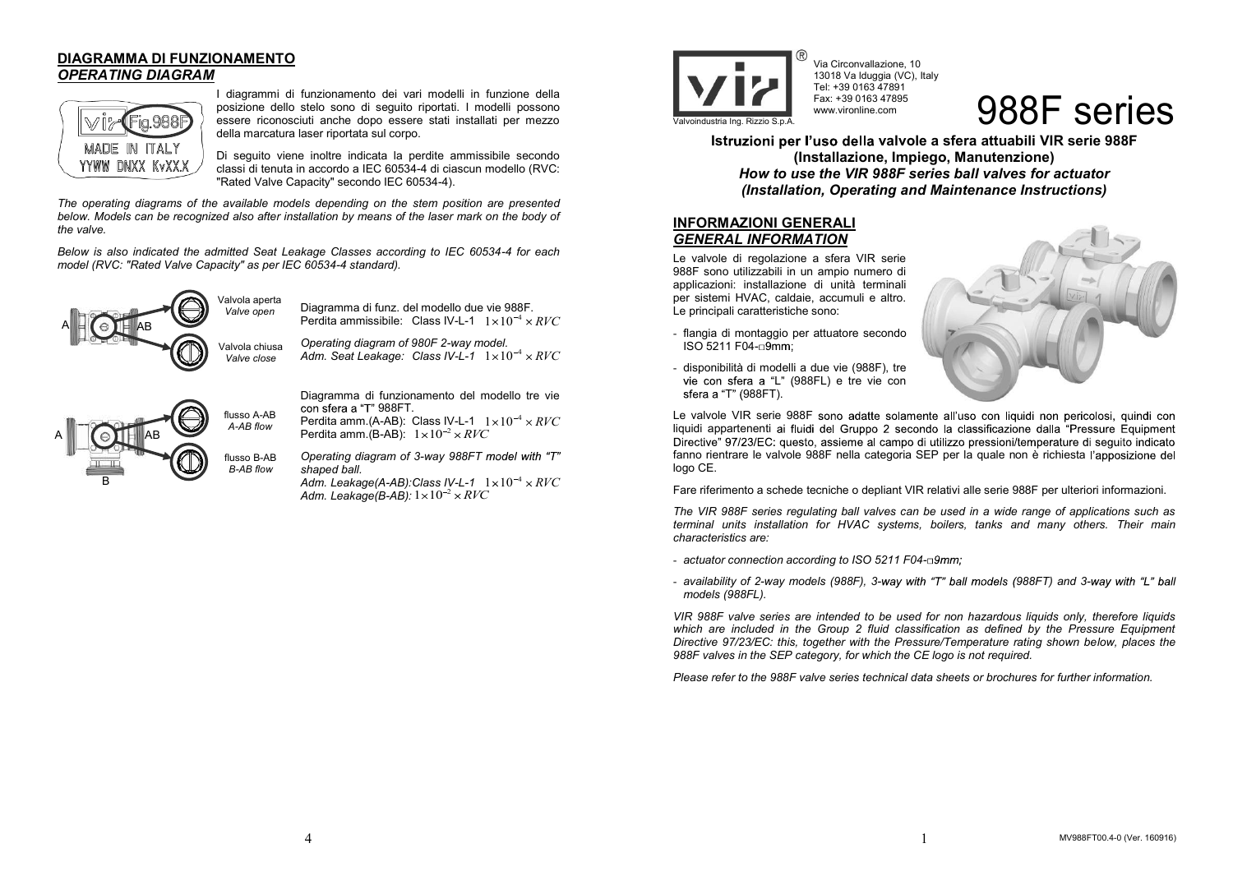## **DIAGRAMMA DI FUNZIONAMENTO** *OPERATING DIAGRAM*



I diagrammi di funzionamento dei vari modelli in funzione della posizione dello stelo sono di seguito riportati. I modelli possono essere riconosciuti anche dopo essere stati installati per mezzo della marcatura laser riportata sul corpo.

Di seguito viene inoltre indicata la perdite ammissibile secondo classi di tenuta in accordo a IEC 60534-4 di ciascun modello (RVC: "Rated Valve Capacity" secondo IEC 60534-4).

*The operating diagrams of the available models depending on the stem position are presented below. Models can be recognized also after installation by means of the laser mark on the body of the valve.* 

*Below is also indicated the admitted Seat Leakage Classes according to IEC 60534-4 for each model (RVC: "Rated Valve Capacity" as per IEC 60534-4 standard).* 



Diagramma di funz. del modello due vie 988F. Perdita ammissibile:  $\,$  Class IV-L-1  $\,$   $1\times10^{-4}\times RVC$ *Operating diagram of 980F 2-way model.* 

Adm. Seat Leakage: Class IV-L-1  $1 \times 10^{-4} \times RVC$ 



Diagramma di funzionamento del modello tre vie con sfera a "T" 988FT.

Perdita amm.(A-AB):  $\,$  Class IV-L-1  $\,$   $1 \times 10^{-4} \times RVC$ Perdita amm.(B-AB):  $\;1\!\times\!10^{-2}\!\times\!RVC$ 

*Operating diagram of 3-way 988FT shaped ball.* 

Adm. Leakage(A-AB):Class IV-L-1  $\;$   $1 \times 10^{-4} \times RVC$ *Adm. Leakage(B-AB):*  $1{\times}10^{-2}$  $\times$  *RVC* 



Via Circonvallazione, 10 13018 Va lduggia (VC), Italy Tel: +39 0163 47891 Fax: +39 0163 47895 www.vironline.com

 $\overline{\mathbf{S}}$  Fax: +39 0163 47895  $\overline{\mathbf{S}}$   $\overline{\mathbf{S}}$   $\overline{\mathbf{S}}$   $\overline{\mathbf{S}}$   $\overline{\mathbf{S}}$   $\overline{\mathbf{S}}$   $\overline{\mathbf{S}}$   $\overline{\mathbf{S}}$   $\overline{\mathbf{S}}$   $\overline{\mathbf{S}}$   $\overline{\mathbf{S}}$   $\overline{\mathbf{S}}$   $\overline{\mathbf{S}}$   $\overline{\mathbf{S}}$   $\overline{\mathbf{S}}$   $\overline{\mathbf{S$ 

**Istruzioni per l'uso della valvole a sfera attuabili VIR serie 988F (Installazione, Impiego, Manutenzione)**  *How to use the VIR 988F series ball valves for actuator (Installation, Operating and Maintenance Instructions)* 

## **INFORMAZIONI GENERALI** *GENERAL INFORMATION*

Le valvole di regolazione a sfera VIR serie 988F sono utilizzabili in un ampio numero di applicazioni: installazione di unità terminali per sistemi HVAC, caldaie, accumuli e altro. Le principali caratteristiche sono:

- flangia di montaggio per attuatore secondo ISO 5211 F04-



- disponibilità di modelli a due vie (988F), tre vie con sfera a "L" (988FL) e tre vie con sfera a "T" (988FT).

Le valvole VIR serie 988F sono adatte solamente all'uso con liquidi non pericolosi, quindi con liquidi appartenenti ai fluidi del Gruppo 2 secondo la classificazione dalla "Pressure Equipment Directive" 97/23/EC: questo, assieme al campo di utilizzo pressioni/temperature di seguito indicato fanno rientrare le valvole 988F nella categoria SEP per la quale non è richiesta l'apposizione del logo CE.

Fare riferimento a schede tecniche o depliant VIR relativi alle serie 988F per ulteriori informazioni.

*The VIR 988F series regulating ball valves can be used in a wide range of applications such as terminal units installation for HVAC systems, boilers, tanks and many others. Their main characteristics are:* 

- *actuator connection according to ISO 5211 F04-*
- *availability of 2-way models (988F), 3-way with "T" ball models (988FT) and 3-way with "L" ball models (988FL).*

*VIR 988F valve series are intended to be used for non hazardous liquids only, therefore liquids which are included in the Group 2 fluid classification as defined by the Pressure Equipment Directive 97/23/EC: this, together with the Pressure/Temperature rating shown below, places the 988F valves in the SEP category, for which the CE logo is not required.* 

*Please refer to the 988F valve series technical data sheets or brochures for further information.*